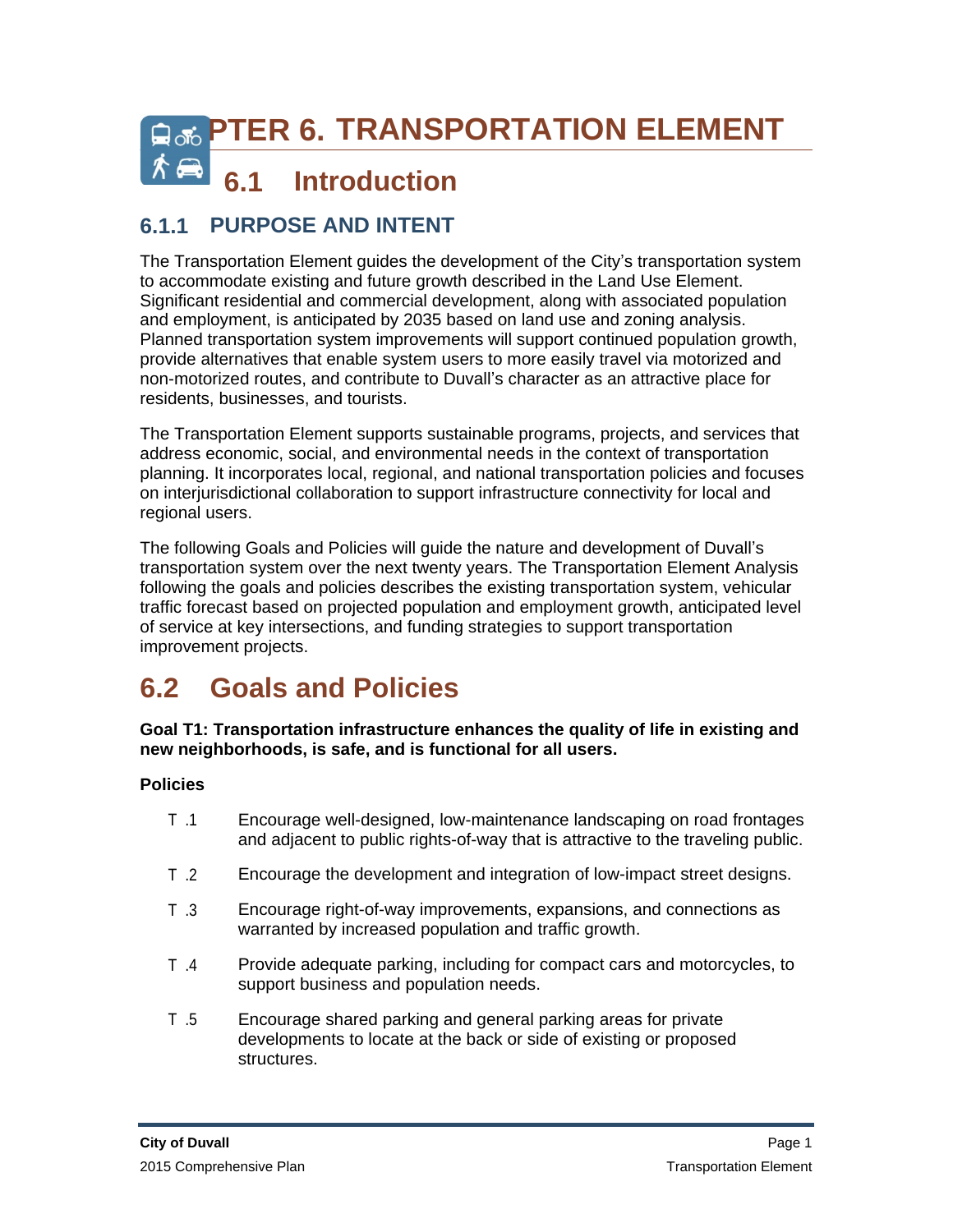# **CARACTER 6. TRANSPORTATION ELEMENT**

## **6.1 Introduction**

## **6.1.1 PURPOSE AND INTENT**

The Transportation Element guides the development of the City's transportation system to accommodate existing and future growth described in the Land Use Element. Significant residential and commercial development, along with associated population and employment, is anticipated by 2035 based on land use and zoning analysis. Planned transportation system improvements will support continued population growth, provide alternatives that enable system users to more easily travel via motorized and non-motorized routes, and contribute to Duvall's character as an attractive place for residents, businesses, and tourists.

The Transportation Element supports sustainable programs, projects, and services that address economic, social, and environmental needs in the context of transportation planning. It incorporates local, regional, and national transportation policies and focuses on interjurisdictional collaboration to support infrastructure connectivity for local and regional users.

The following Goals and Policies will guide the nature and development of Duvall's transportation system over the next twenty years. The Transportation Element Analysis following the goals and policies describes the existing transportation system, vehicular traffic forecast based on projected population and employment growth, anticipated level of service at key intersections, and funding strategies to support transportation improvement projects.

## **6.2 Goals and Policies**

**Goal T1: Transportation infrastructure enhances the quality of life in existing and new neighborhoods, is safe, and is functional for all users.**

- T .1 Encourage well-designed, low-maintenance landscaping on road frontages and adjacent to public rights-of-way that is attractive to the traveling public.
- T .2 Encourage the development and integration of low-impact street designs.
- T .3 Encourage right-of-way improvements, expansions, and connections as warranted by increased population and traffic growth.
- T .4 Provide adequate parking, including for compact cars and motorcycles, to support business and population needs.
- T .5 Encourage shared parking and general parking areas for private developments to locate at the back or side of existing or proposed structures.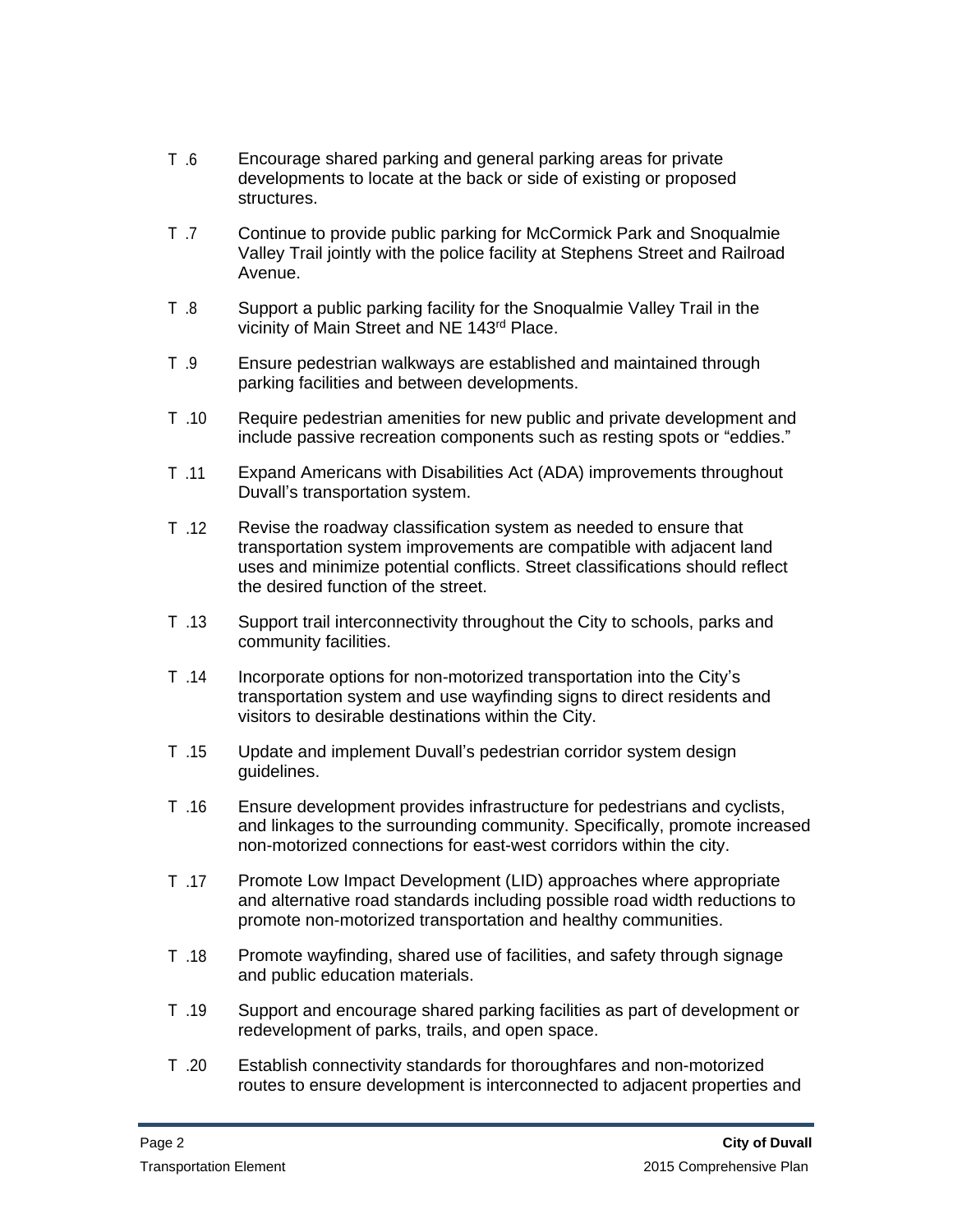- T .6 Encourage shared parking and general parking areas for private developments to locate at the back or side of existing or proposed structures.
- T .7 Continue to provide public parking for McCormick Park and Snoqualmie Valley Trail jointly with the police facility at Stephens Street and Railroad Avenue.
- T .8 Support a public parking facility for the Snoqualmie Valley Trail in the vicinity of Main Street and NE 143rd Place.
- T .9 Ensure pedestrian walkways are established and maintained through parking facilities and between developments.
- T .10 Require pedestrian amenities for new public and private development and include passive recreation components such as resting spots or "eddies."
- T .11 Expand Americans with Disabilities Act (ADA) improvements throughout Duvall's transportation system.
- T .12 Revise the roadway classification system as needed to ensure that transportation system improvements are compatible with adjacent land uses and minimize potential conflicts. Street classifications should reflect the desired function of the street.
- T .13 Support trail interconnectivity throughout the City to schools, parks and community facilities.
- T .14 Incorporate options for non-motorized transportation into the City's transportation system and use wayfinding signs to direct residents and visitors to desirable destinations within the City.
- T .15 Update and implement Duvall's pedestrian corridor system design guidelines.
- T .16 Ensure development provides infrastructure for pedestrians and cyclists, and linkages to the surrounding community. Specifically, promote increased non-motorized connections for east-west corridors within the city.
- T .17 Promote Low Impact Development (LID) approaches where appropriate and alternative road standards including possible road width reductions to promote non-motorized transportation and healthy communities.
- T .18 Promote wayfinding, shared use of facilities, and safety through signage and public education materials.
- T .19 Support and encourage shared parking facilities as part of development or redevelopment of parks, trails, and open space.
- T .20 Establish connectivity standards for thoroughfares and non-motorized routes to ensure development is interconnected to adjacent properties and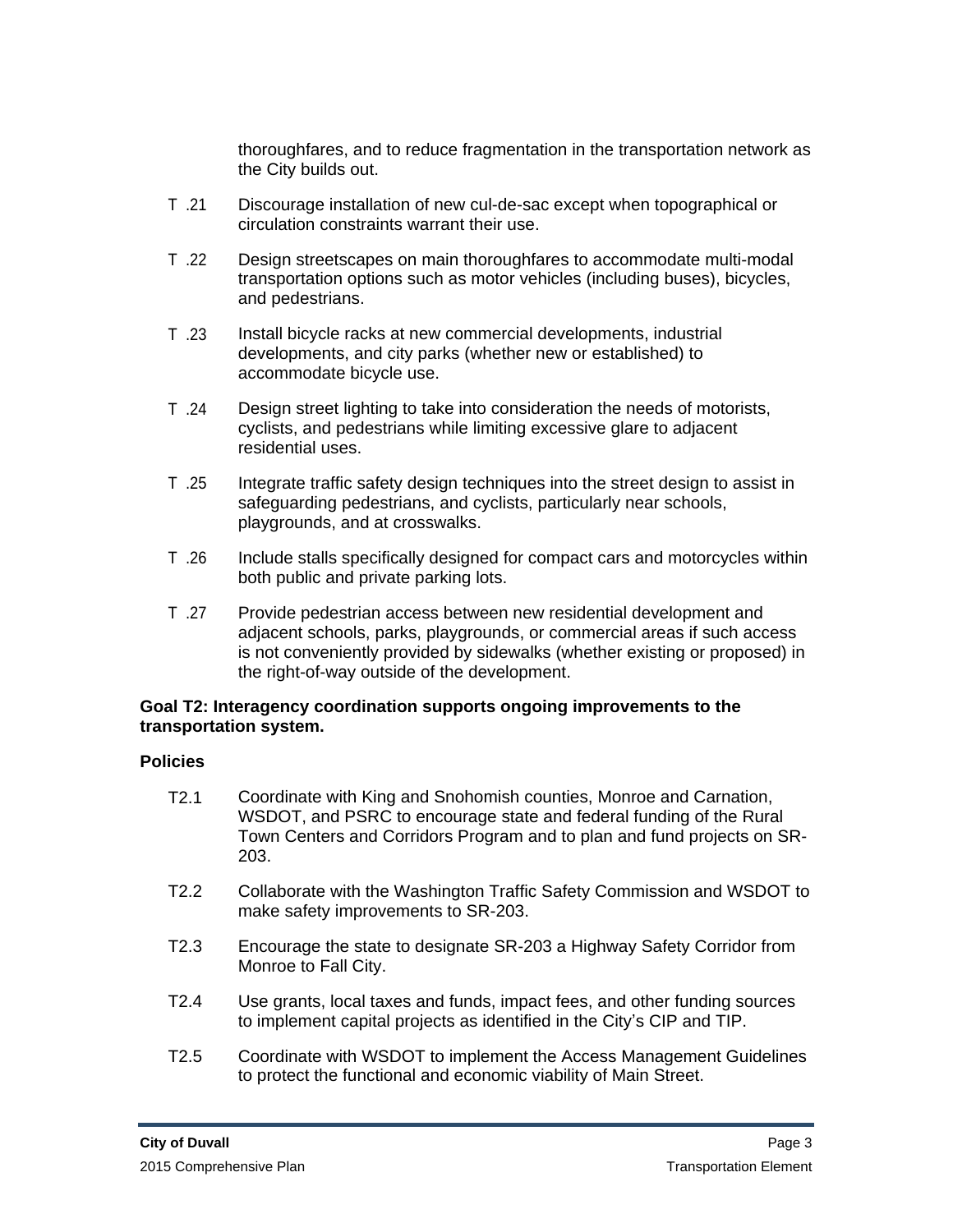thoroughfares, and to reduce fragmentation in the transportation network as the City builds out.

- T .21 Discourage installation of new cul-de-sac except when topographical or circulation constraints warrant their use.
- T .22 Design streetscapes on main thoroughfares to accommodate multi-modal transportation options such as motor vehicles (including buses), bicycles, and pedestrians.
- T .23 Install bicycle racks at new commercial developments, industrial developments, and city parks (whether new or established) to accommodate bicycle use.
- T .24 Design street lighting to take into consideration the needs of motorists, cyclists, and pedestrians while limiting excessive glare to adjacent residential uses.
- T .25 Integrate traffic safety design techniques into the street design to assist in safeguarding pedestrians, and cyclists, particularly near schools, playgrounds, and at crosswalks.
- T .26 Include stalls specifically designed for compact cars and motorcycles within both public and private parking lots.
- T .27 Provide pedestrian access between new residential development and adjacent schools, parks, playgrounds, or commercial areas if such access is not conveniently provided by sidewalks (whether existing or proposed) in the right-of-way outside of the development.

#### **Goal T2: Interagency coordination supports ongoing improvements to the transportation system.**

- T2.1 Coordinate with King and Snohomish counties, Monroe and Carnation, WSDOT, and PSRC to encourage state and federal funding of the Rural Town Centers and Corridors Program and to plan and fund projects on SR-203.
- T2.2 Collaborate with the Washington Traffic Safety Commission and WSDOT to make safety improvements to SR-203.
- T2.3 Encourage the state to designate SR-203 a Highway Safety Corridor from Monroe to Fall City.
- T2.4 Use grants, local taxes and funds, impact fees, and other funding sources to implement capital projects as identified in the City's CIP and TIP.
- T2.5 Coordinate with WSDOT to implement the Access Management Guidelines to protect the functional and economic viability of Main Street.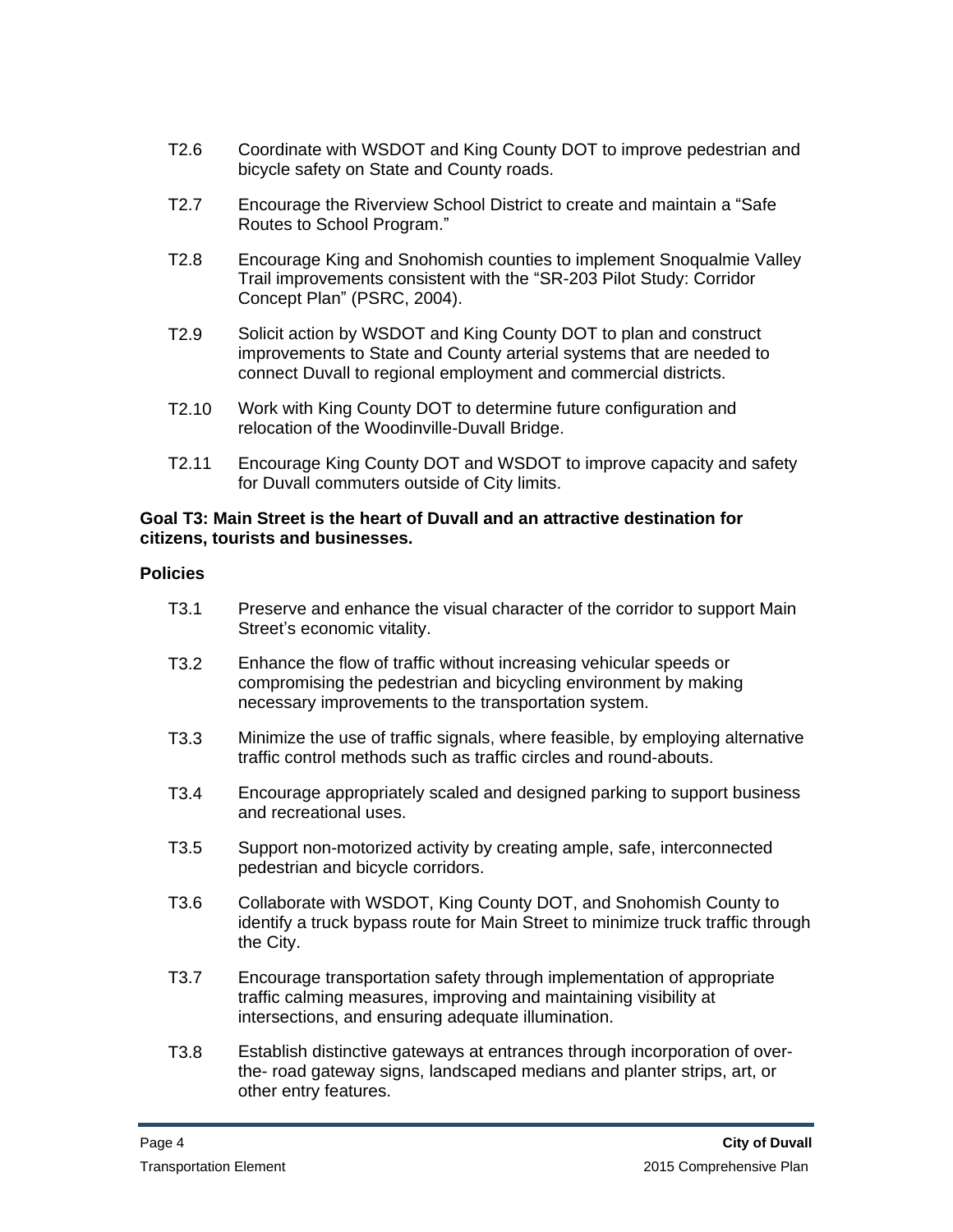- T2.6 Coordinate with WSDOT and King County DOT to improve pedestrian and bicycle safety on State and County roads.
- T2.7 Encourage the Riverview School District to create and maintain a "Safe Routes to School Program."
- T2.8 Encourage King and Snohomish counties to implement Snoqualmie Valley Trail improvements consistent with the "SR-203 Pilot Study: Corridor Concept Plan" (PSRC, 2004).
- T2.9 Solicit action by WSDOT and King County DOT to plan and construct improvements to State and County arterial systems that are needed to connect Duvall to regional employment and commercial districts.
- T2.10 Work with King County DOT to determine future configuration and relocation of the Woodinville-Duvall Bridge.
- T2.11 Encourage King County DOT and WSDOT to improve capacity and safety for Duvall commuters outside of City limits.

#### **Goal T3: Main Street is the heart of Duvall and an attractive destination for citizens, tourists and businesses.**

- T3.1 Preserve and enhance the visual character of the corridor to support Main Street's economic vitality.
- T3.2 Enhance the flow of traffic without increasing vehicular speeds or compromising the pedestrian and bicycling environment by making necessary improvements to the transportation system.
- T3.3 Minimize the use of traffic signals, where feasible, by employing alternative traffic control methods such as traffic circles and round-abouts.
- T3.4 Encourage appropriately scaled and designed parking to support business and recreational uses.
- T3.5 Support non-motorized activity by creating ample, safe, interconnected pedestrian and bicycle corridors.
- T3.6 Collaborate with WSDOT, King County DOT, and Snohomish County to identify a truck bypass route for Main Street to minimize truck traffic through the City.
- T3.7 Encourage transportation safety through implementation of appropriate traffic calming measures, improving and maintaining visibility at intersections, and ensuring adequate illumination.
- T3.8 Establish distinctive gateways at entrances through incorporation of overthe- road gateway signs, landscaped medians and planter strips, art, or other entry features.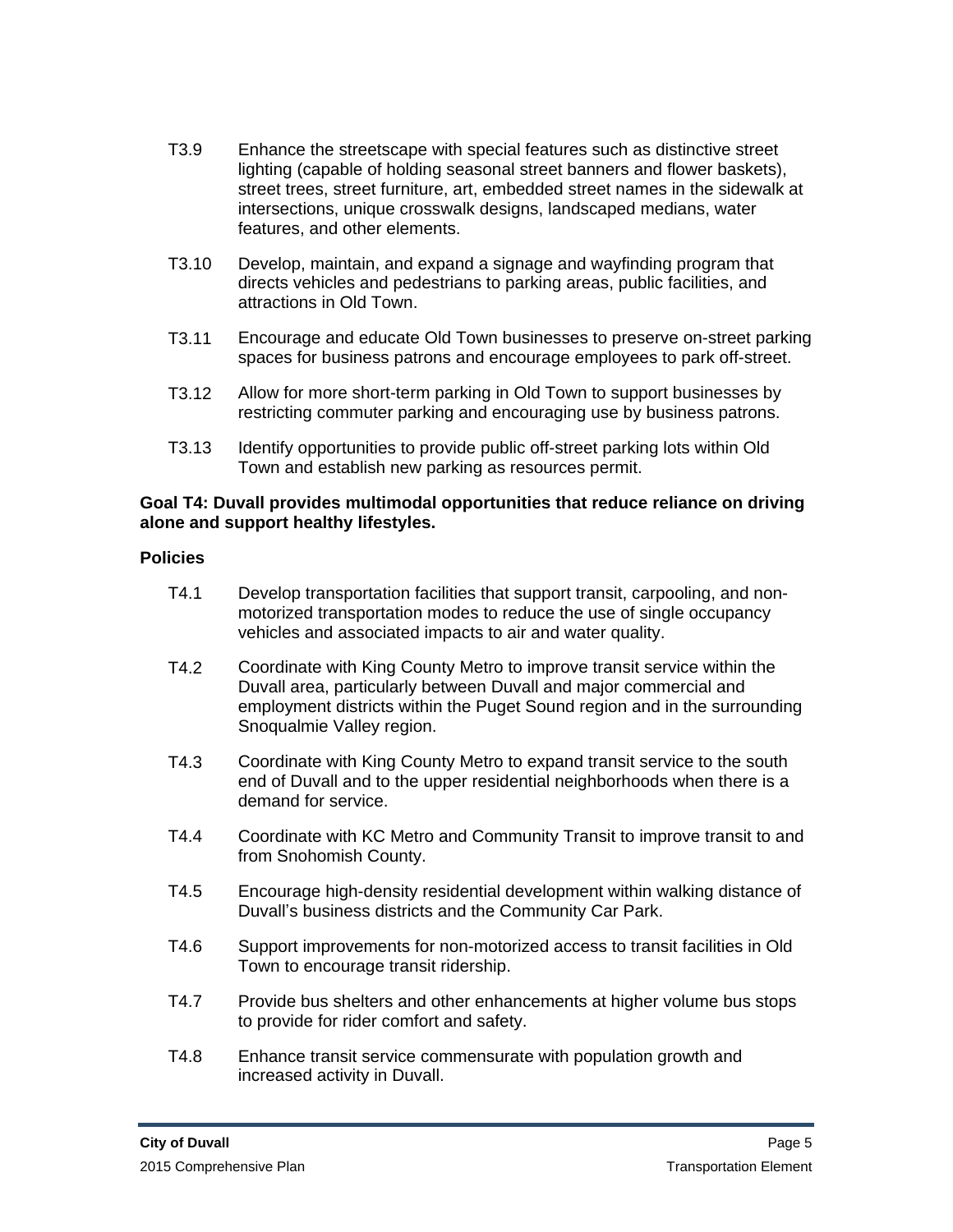- T3.9 Enhance the streetscape with special features such as distinctive street lighting (capable of holding seasonal street banners and flower baskets), street trees, street furniture, art, embedded street names in the sidewalk at intersections, unique crosswalk designs, landscaped medians, water features, and other elements.
- T3.10 Develop, maintain, and expand a signage and wayfinding program that directs vehicles and pedestrians to parking areas, public facilities, and attractions in Old Town.
- T3.11 Encourage and educate Old Town businesses to preserve on-street parking spaces for business patrons and encourage employees to park off-street.
- T3.12 Allow for more short-term parking in Old Town to support businesses by restricting commuter parking and encouraging use by business patrons.
- T3.13 Identify opportunities to provide public off-street parking lots within Old Town and establish new parking as resources permit.

#### **Goal T4: Duvall provides multimodal opportunities that reduce reliance on driving alone and support healthy lifestyles.**

- T4.1 Develop transportation facilities that support transit, carpooling, and nonmotorized transportation modes to reduce the use of single occupancy vehicles and associated impacts to air and water quality.
- T4.2 Coordinate with King County Metro to improve transit service within the Duvall area, particularly between Duvall and major commercial and employment districts within the Puget Sound region and in the surrounding Snoqualmie Valley region.
- T4.3 Coordinate with King County Metro to expand transit service to the south end of Duvall and to the upper residential neighborhoods when there is a demand for service.
- T4.4 Coordinate with KC Metro and Community Transit to improve transit to and from Snohomish County.
- T4.5 Encourage high-density residential development within walking distance of Duvall's business districts and the Community Car Park.
- T4.6 Support improvements for non-motorized access to transit facilities in Old Town to encourage transit ridership.
- T4.7 Provide bus shelters and other enhancements at higher volume bus stops to provide for rider comfort and safety.
- T4.8 Enhance transit service commensurate with population growth and increased activity in Duvall.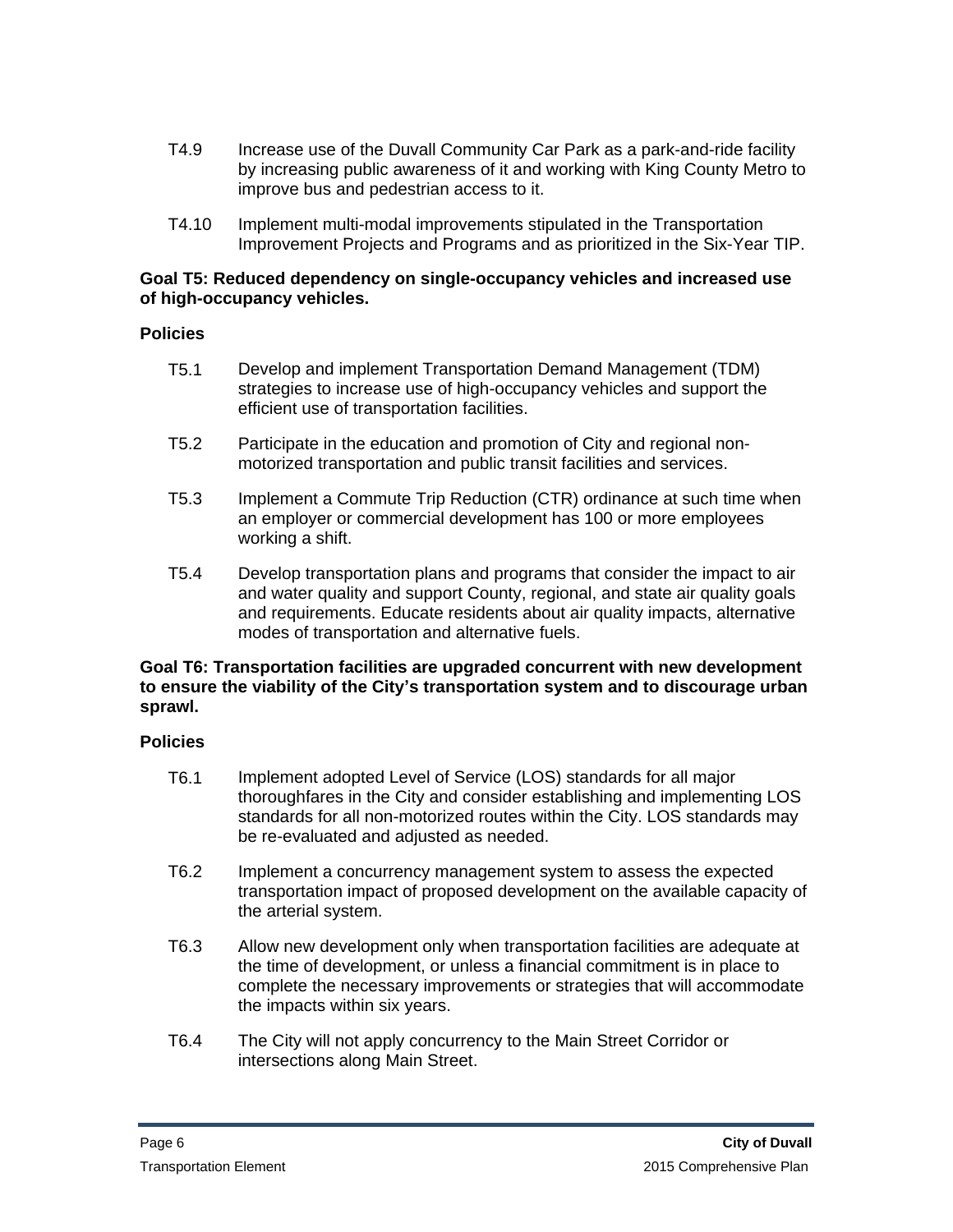- T4.9 Increase use of the Duvall Community Car Park as a park-and-ride facility by increasing public awareness of it and working with King County Metro to improve bus and pedestrian access to it.
- T4.10 Implement multi-modal improvements stipulated in the Transportation Improvement Projects and Programs and as prioritized in the Six-Year TIP.

#### **Goal T5: Reduced dependency on single-occupancy vehicles and increased use of high-occupancy vehicles.**

#### **Policies**

- T5.1 Develop and implement Transportation Demand Management (TDM) strategies to increase use of high-occupancy vehicles and support the efficient use of transportation facilities.
- T5.2 Participate in the education and promotion of City and regional nonmotorized transportation and public transit facilities and services.
- T5.3 Implement a Commute Trip Reduction (CTR) ordinance at such time when an employer or commercial development has 100 or more employees working a shift.
- T5.4 Develop transportation plans and programs that consider the impact to air and water quality and support County, regional, and state air quality goals and requirements. Educate residents about air quality impacts, alternative modes of transportation and alternative fuels.

#### **Goal T6: Transportation facilities are upgraded concurrent with new development to ensure the viability of the City's transportation system and to discourage urban sprawl.**

- T6.1 Implement adopted Level of Service (LOS) standards for all major thoroughfares in the City and consider establishing and implementing LOS standards for all non-motorized routes within the City. LOS standards may be re-evaluated and adjusted as needed.
- T6.2 Implement a concurrency management system to assess the expected transportation impact of proposed development on the available capacity of the arterial system.
- T6.3 Allow new development only when transportation facilities are adequate at the time of development, or unless a financial commitment is in place to complete the necessary improvements or strategies that will accommodate the impacts within six years.
- T6.4 The City will not apply concurrency to the Main Street Corridor or intersections along Main Street.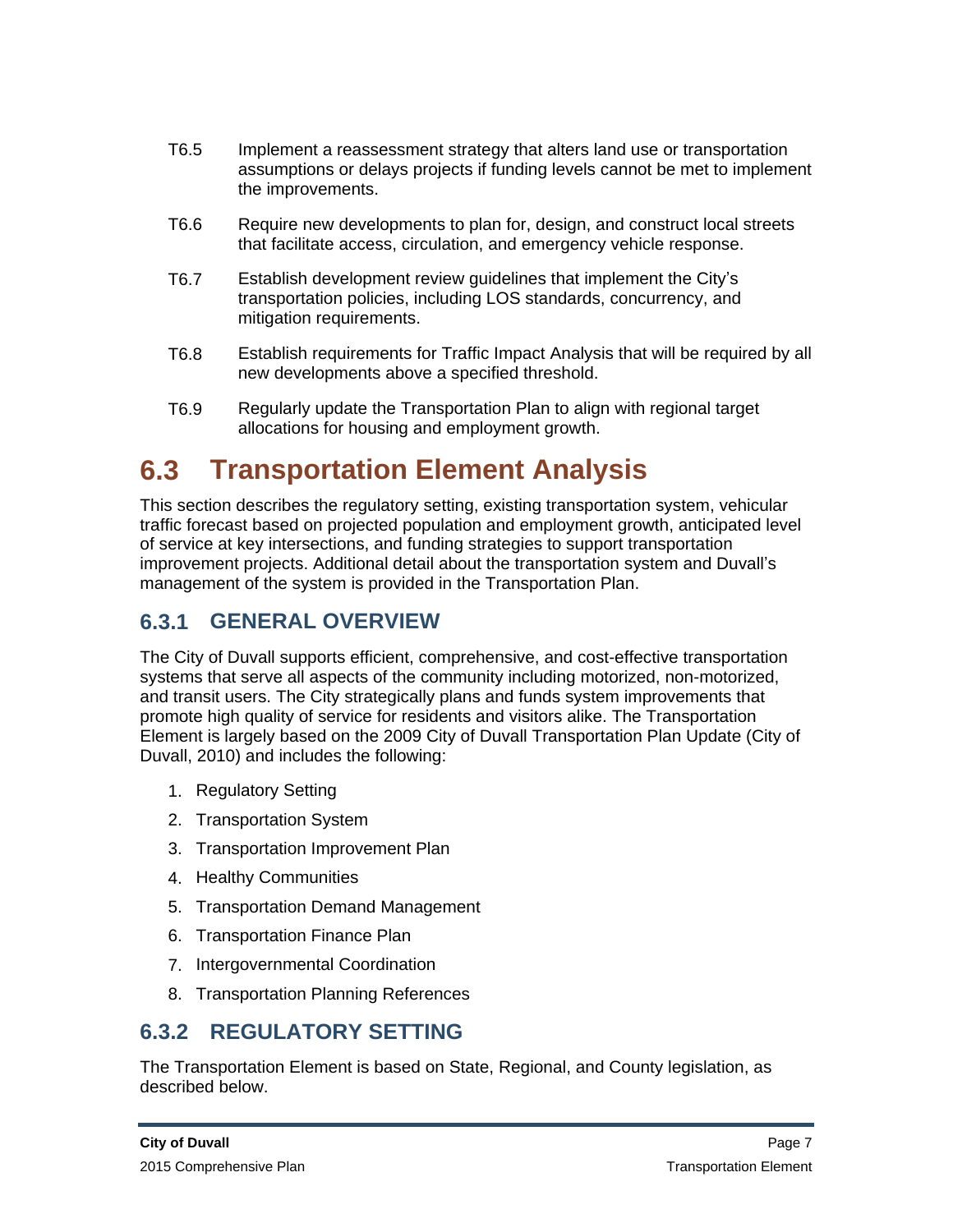- T6.5 Implement a reassessment strategy that alters land use or transportation assumptions or delays projects if funding levels cannot be met to implement the improvements.
- T6.6 Require new developments to plan for, design, and construct local streets that facilitate access, circulation, and emergency vehicle response.
- T6.7 Establish development review guidelines that implement the City's transportation policies, including LOS standards, concurrency, and mitigation requirements.
- T6.8 Establish requirements for Traffic Impact Analysis that will be required by all new developments above a specified threshold.
- T6.9 Regularly update the Transportation Plan to align with regional target allocations for housing and employment growth.

## **6.3 Transportation Element Analysis**

This section describes the regulatory setting, existing transportation system, vehicular traffic forecast based on projected population and employment growth, anticipated level of service at key intersections, and funding strategies to support transportation improvement projects. Additional detail about the transportation system and Duvall's management of the system is provided in the Transportation Plan.

## **6.3.1 GENERAL OVERVIEW**

The City of Duvall supports efficient, comprehensive, and cost-effective transportation systems that serve all aspects of the community including motorized, non-motorized, and transit users. The City strategically plans and funds system improvements that promote high quality of service for residents and visitors alike. The Transportation Element is largely based on the 2009 City of Duvall Transportation Plan Update (City of Duvall, 2010) and includes the following:

- 1. Regulatory Setting
- 2. Transportation System
- 3. Transportation Improvement Plan
- 4. Healthy Communities
- 5. Transportation Demand Management
- 6. Transportation Finance Plan
- 7. Intergovernmental Coordination
- 8. Transportation Planning References

## **6.3.2 REGULATORY SETTING**

The Transportation Element is based on State, Regional, and County legislation, as described below.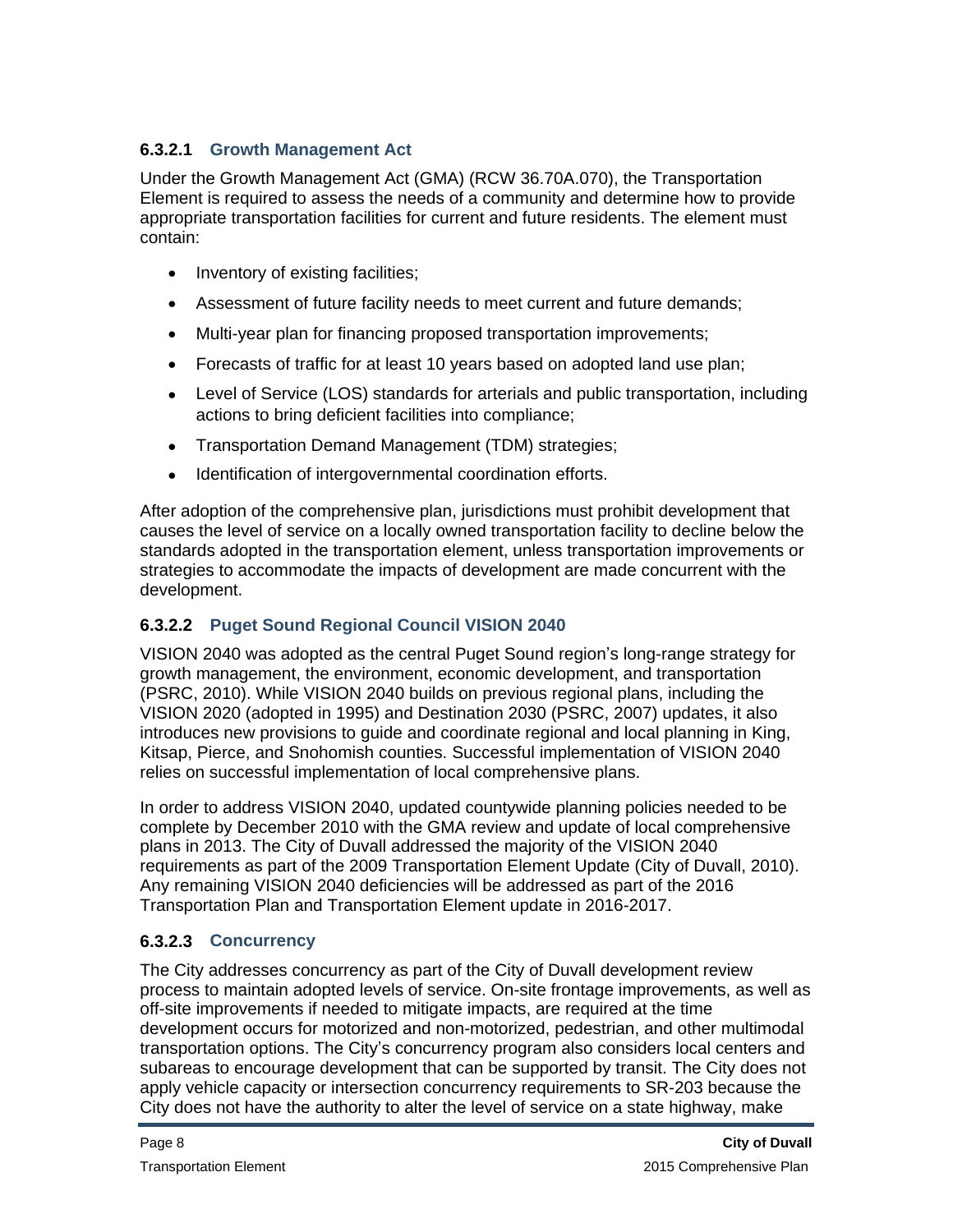#### **6.3.2.1 Growth Management Act**

Under the Growth Management Act (GMA) (RCW 36.70A.070), the Transportation Element is required to assess the needs of a community and determine how to provide appropriate transportation facilities for current and future residents. The element must contain:

- Inventory of existing facilities;
- Assessment of future facility needs to meet current and future demands;
- Multi-year plan for financing proposed transportation improvements;
- Forecasts of traffic for at least 10 years based on adopted land use plan;
- Level of Service (LOS) standards for arterials and public transportation, including actions to bring deficient facilities into compliance;
- Transportation Demand Management (TDM) strategies;
- Identification of intergovernmental coordination efforts.

After adoption of the comprehensive plan, jurisdictions must prohibit development that causes the level of service on a locally owned transportation facility to decline below the standards adopted in the transportation element, unless transportation improvements or strategies to accommodate the impacts of development are made concurrent with the development.

#### **6.3.2.2 Puget Sound Regional Council VISION 2040**

VISION 2040 was adopted as the central Puget Sound region's long-range strategy for growth management, the environment, economic development, and transportation (PSRC, 2010). While VISION 2040 builds on previous regional plans, including the VISION 2020 (adopted in 1995) and Destination 2030 (PSRC, 2007) updates, it also introduces new provisions to guide and coordinate regional and local planning in King, Kitsap, Pierce, and Snohomish counties. Successful implementation of VISION 2040 relies on successful implementation of local comprehensive plans.

In order to address VISION 2040, updated countywide planning policies needed to be complete by December 2010 with the GMA review and update of local comprehensive plans in 2013. The City of Duvall addressed the majority of the VISION 2040 requirements as part of the 2009 Transportation Element Update (City of Duvall, 2010). Any remaining VISION 2040 deficiencies will be addressed as part of the 2016 Transportation Plan and Transportation Element update in 2016-2017.

#### **6.3.2.3 Concurrency**

The City addresses concurrency as part of the City of Duvall development review process to maintain adopted levels of service. On-site frontage improvements, as well as off-site improvements if needed to mitigate impacts, are required at the time development occurs for motorized and non-motorized, pedestrian, and other multimodal transportation options. The City's concurrency program also considers local centers and subareas to encourage development that can be supported by transit. The City does not apply vehicle capacity or intersection concurrency requirements to SR-203 because the City does not have the authority to alter the level of service on a state highway, make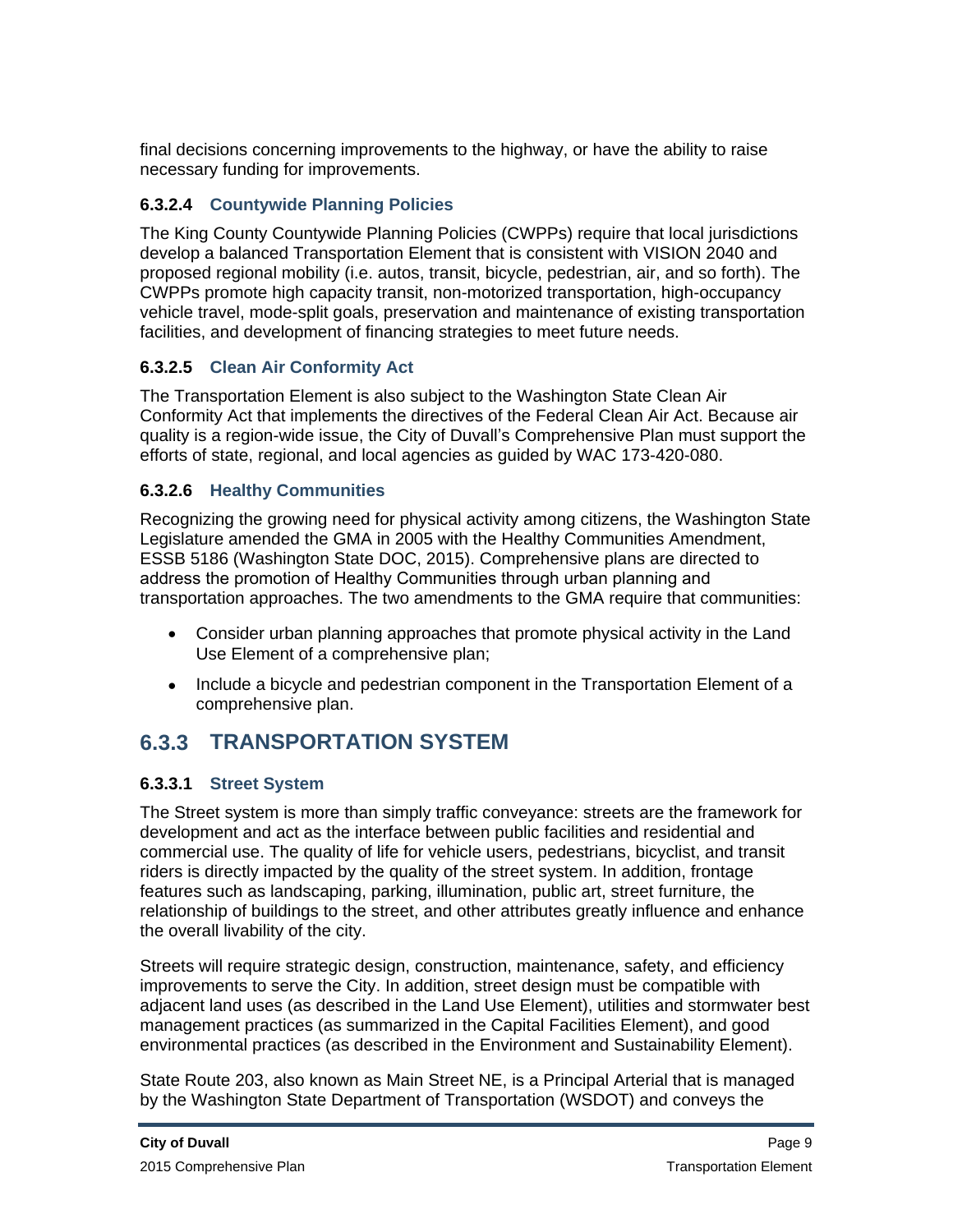final decisions concerning improvements to the highway, or have the ability to raise necessary funding for improvements.

#### **6.3.2.4 Countywide Planning Policies**

The King County Countywide Planning Policies (CWPPs) require that local jurisdictions develop a balanced Transportation Element that is consistent with VISION 2040 and proposed regional mobility (i.e. autos, transit, bicycle, pedestrian, air, and so forth). The CWPPs promote high capacity transit, non-motorized transportation, high-occupancy vehicle travel, mode-split goals, preservation and maintenance of existing transportation facilities, and development of financing strategies to meet future needs.

#### **6.3.2.5 Clean Air Conformity Act**

The Transportation Element is also subject to the Washington State Clean Air Conformity Act that implements the directives of the Federal Clean Air Act. Because air quality is a region-wide issue, the City of Duvall's Comprehensive Plan must support the efforts of state, regional, and local agencies as guided by WAC 173-420-080.

#### **6.3.2.6 Healthy Communities**

Recognizing the growing need for physical activity among citizens, the Washington State Legislature amended the GMA in 2005 with the Healthy Communities Amendment, ESSB 5186 (Washington State DOC, 2015). Comprehensive plans are directed to address the promotion of Healthy Communities through urban planning and transportation approaches. The two amendments to the GMA require that communities:

- Consider urban planning approaches that promote physical activity in the Land Use Element of a comprehensive plan;
- Include a bicycle and pedestrian component in the Transportation Element of a comprehensive plan.

## **6.3.3 TRANSPORTATION SYSTEM**

#### **6.3.3.1 Street System**

The Street system is more than simply traffic conveyance: streets are the framework for development and act as the interface between public facilities and residential and commercial use. The quality of life for vehicle users, pedestrians, bicyclist, and transit riders is directly impacted by the quality of the street system. In addition, frontage features such as landscaping, parking, illumination, public art, street furniture, the relationship of buildings to the street, and other attributes greatly influence and enhance the overall livability of the city.

Streets will require strategic design, construction, maintenance, safety, and efficiency improvements to serve the City. In addition, street design must be compatible with adjacent land uses (as described in the Land Use Element), utilities and stormwater best management practices (as summarized in the Capital Facilities Element), and good environmental practices (as described in the Environment and Sustainability Element).

State Route 203, also known as Main Street NE, is a Principal Arterial that is managed by the Washington State Department of Transportation (WSDOT) and conveys the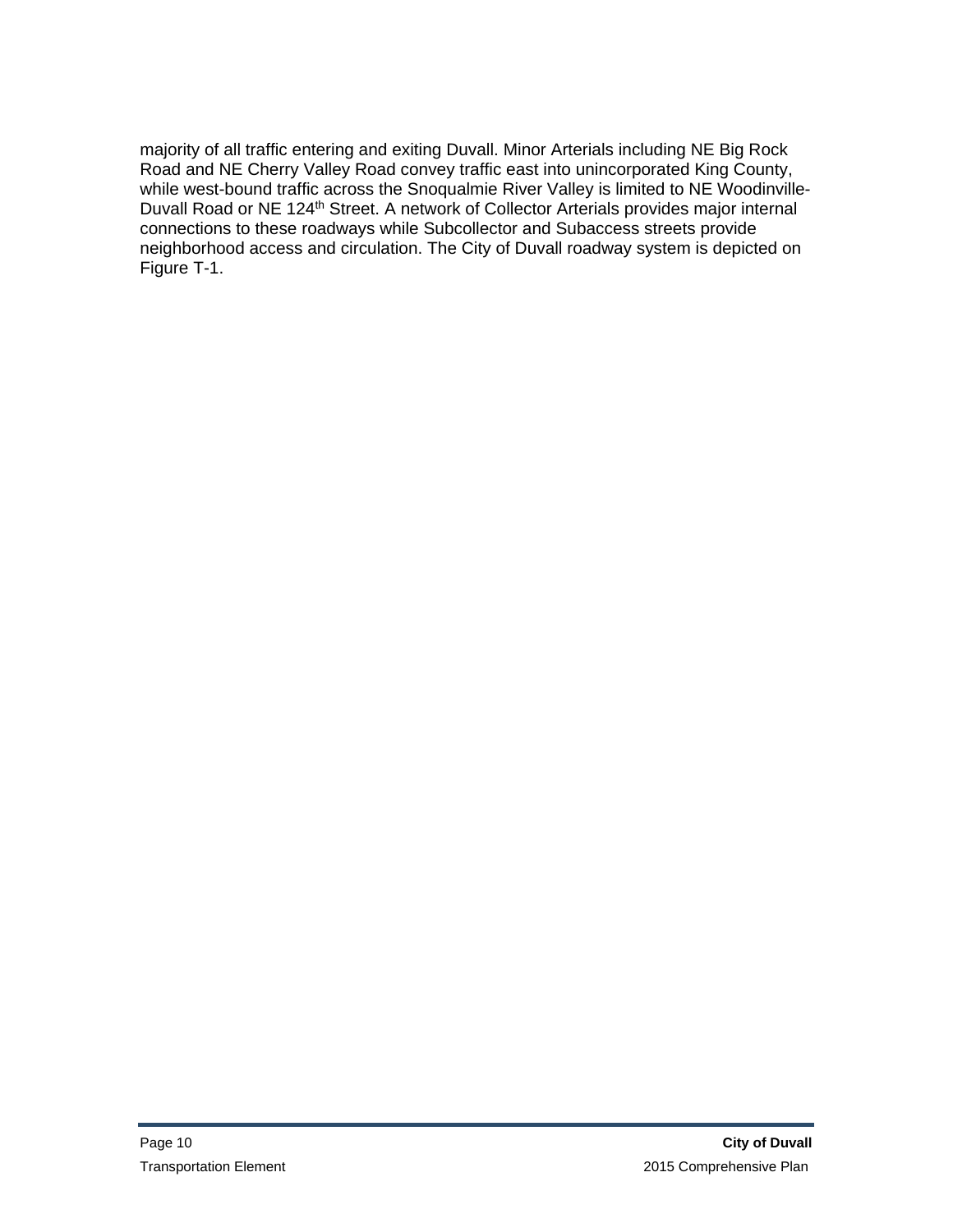majority of all traffic entering and exiting Duvall. Minor Arterials including NE Big Rock Road and NE Cherry Valley Road convey traffic east into unincorporated King County, while west-bound traffic across the Snoqualmie River Valley is limited to NE Woodinville-Duvall Road or NE 124th Street. A network of Collector Arterials provides major internal connections to these roadways while Subcollector and Subaccess streets provide neighborhood access and circulation. The City of Duvall roadway system is depicted on Figure T-1.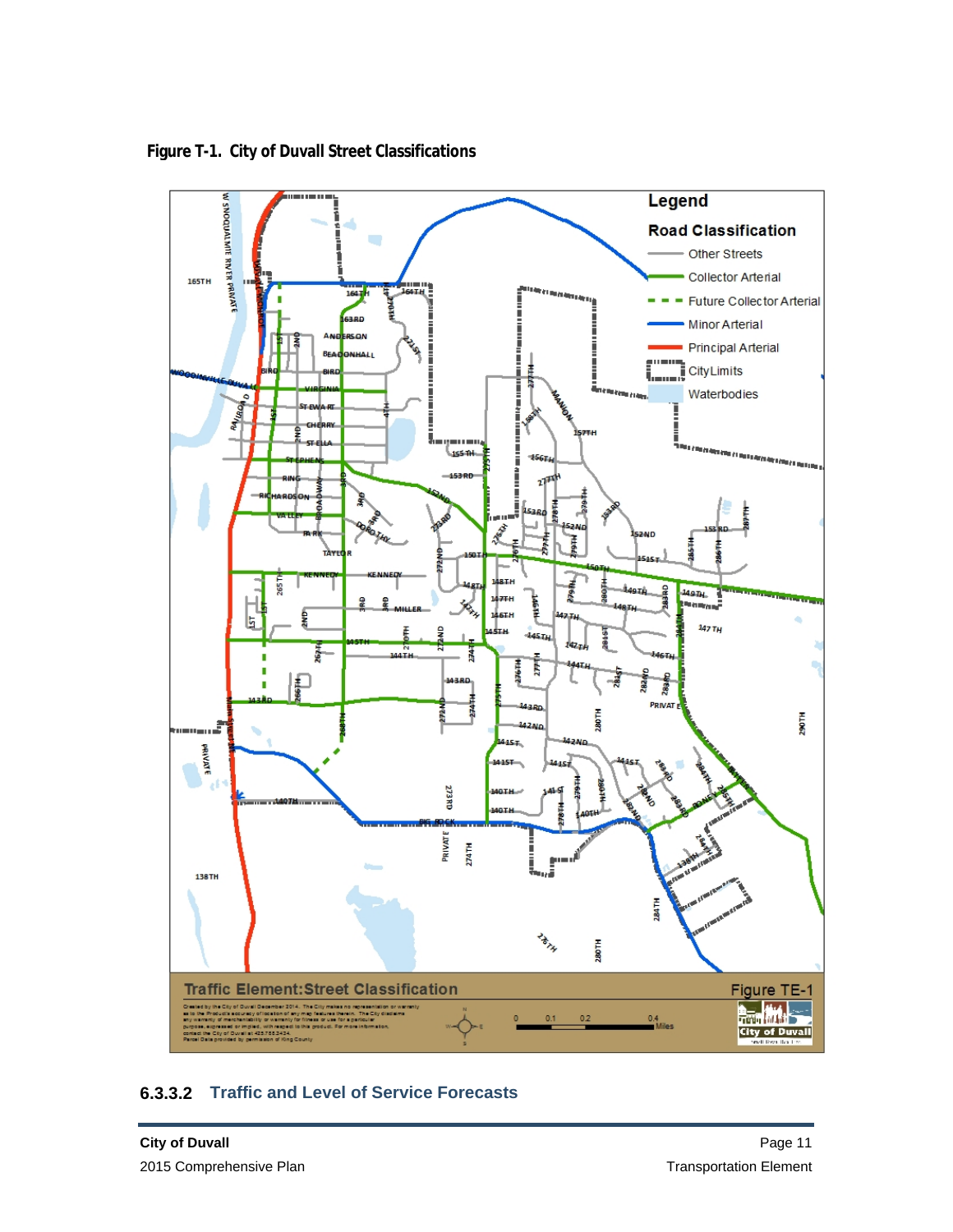

**Figure T-1. City of Duvall Street Classifications**

#### **6.3.3.2 Traffic and Level of Service Forecasts**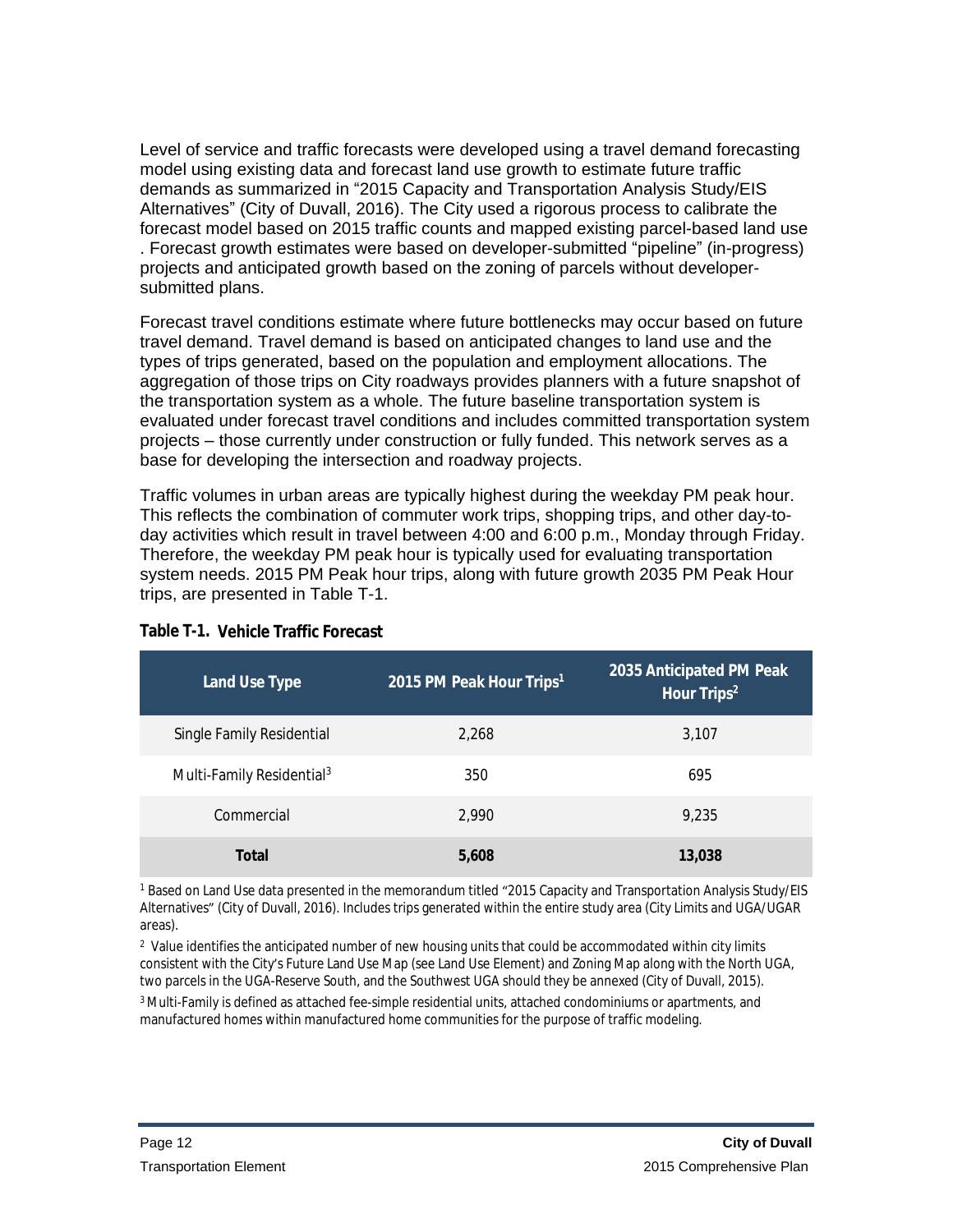Level of service and traffic forecasts were developed using a travel demand forecasting model using existing data and forecast land use growth to estimate future traffic demands as summarized in "2015 Capacity and Transportation Analysis Study/EIS Alternatives" (City of Duvall, 2016). The City used a rigorous process to calibrate the forecast model based on 2015 traffic counts and mapped existing parcel-based land use . Forecast growth estimates were based on developer-submitted "pipeline" (in-progress) projects and anticipated growth based on the zoning of parcels without developersubmitted plans.

Forecast travel conditions estimate where future bottlenecks may occur based on future travel demand. Travel demand is based on anticipated changes to land use and the types of trips generated, based on the population and employment allocations. The aggregation of those trips on City roadways provides planners with a future snapshot of the transportation system as a whole. The future baseline transportation system is evaluated under forecast travel conditions and includes committed transportation system projects – those currently under construction or fully funded. This network serves as a base for developing the intersection and roadway projects.

Traffic volumes in urban areas are typically highest during the weekday PM peak hour. This reflects the combination of commuter work trips, shopping trips, and other day-today activities which result in travel between 4:00 and 6:00 p.m., Monday through Friday. Therefore, the weekday PM peak hour is typically used for evaluating transportation system needs. 2015 PM Peak hour trips, along with future growth 2035 PM Peak Hour trips, are presented in Table T-1.

| <b>Land Use Type</b>                  | 2015 PM Peak Hour Trips <sup>1</sup> | 2035 Anticipated PM Peak<br>Hour Trips <sup>2</sup> |
|---------------------------------------|--------------------------------------|-----------------------------------------------------|
| Single Family Residential             | 2,268                                | 3,107                                               |
| Multi-Family Residential <sup>3</sup> | 350                                  | 695                                                 |
| Commercial                            | 2.990                                | 9,235                                               |
| <b>Total</b>                          | 5,608                                | 13,038                                              |

#### **Table T-1. Vehicle Traffic Forecast**

1 Based on Land Use data presented in the memorandum titled "2015 Capacity and Transportation Analysis Study/EIS Alternatives" (City of Duvall, 2016). Includes trips generated within the entire study area (City Limits and UGA/UGAR areas).

 $2$  Value identifies the anticipated number of new housing units that could be accommodated within city limits consistent with the City's Future Land Use Map (see Land Use Element) and Zoning Map along with the North UGA, two parcels in the UGA-Reserve South, and the Southwest UGA should they be annexed (City of Duvall, 2015).

<sup>3</sup> Multi-Family is defined as attached fee-simple residential units, attached condominiums or apartments, and manufactured homes within manufactured home communities for the purpose of traffic modeling.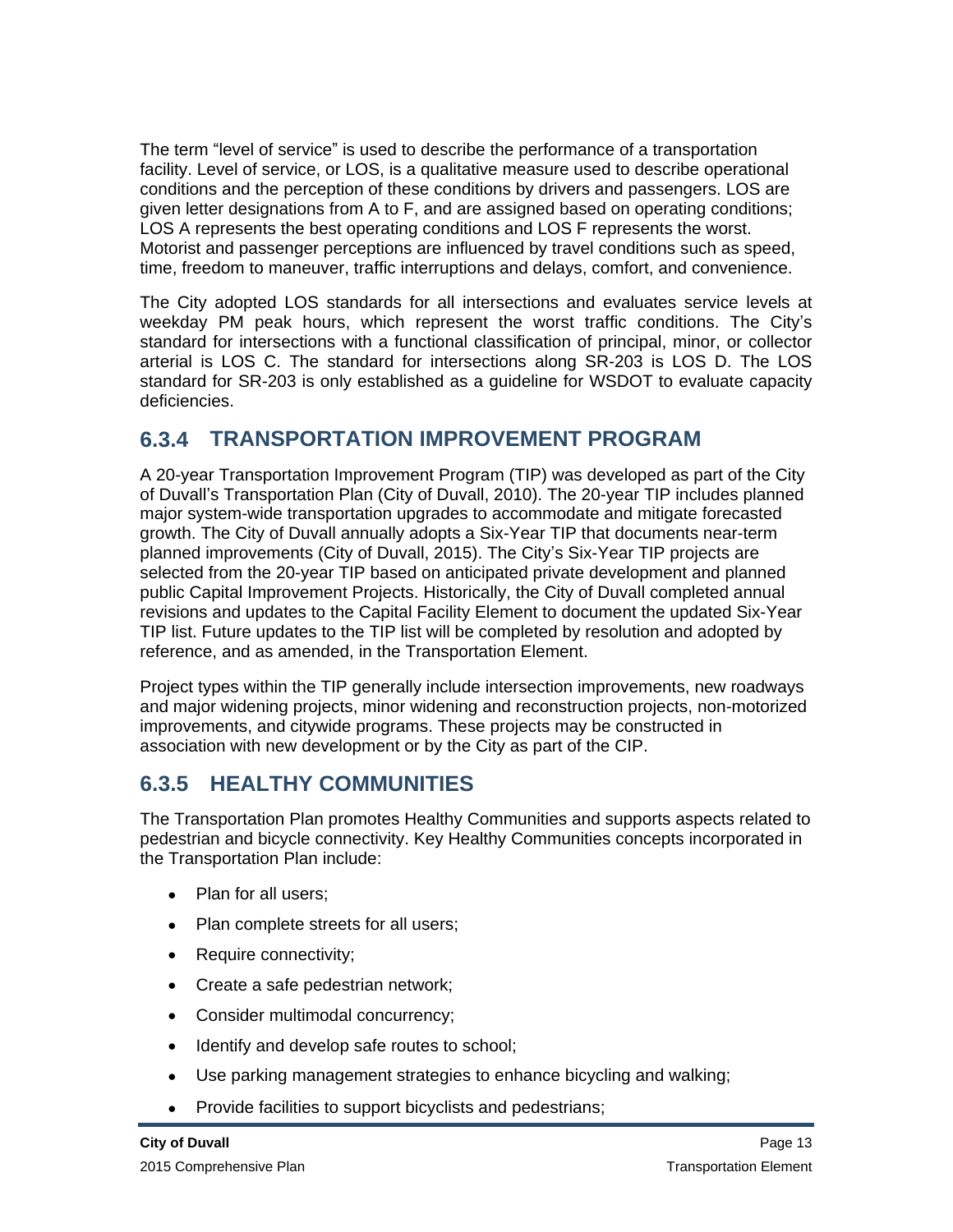The term "level of service" is used to describe the performance of a transportation facility. Level of service, or LOS, is a qualitative measure used to describe operational conditions and the perception of these conditions by drivers and passengers. LOS are given letter designations from A to F, and are assigned based on operating conditions; LOS A represents the best operating conditions and LOS F represents the worst. Motorist and passenger perceptions are influenced by travel conditions such as speed, time, freedom to maneuver, traffic interruptions and delays, comfort, and convenience.

The City adopted LOS standards for all intersections and evaluates service levels at weekday PM peak hours, which represent the worst traffic conditions. The City's standard for intersections with a functional classification of principal, minor, or collector arterial is LOS C. The standard for intersections along SR-203 is LOS D. The LOS standard for SR-203 is only established as a guideline for WSDOT to evaluate capacity deficiencies.

### **6.3.4 TRANSPORTATION IMPROVEMENT PROGRAM**

A 20-year Transportation Improvement Program (TIP) was developed as part of the City of Duvall's Transportation Plan (City of Duvall, 2010). The 20-year TIP includes planned major system-wide transportation upgrades to accommodate and mitigate forecasted growth. The City of Duvall annually adopts a Six-Year TIP that documents near-term planned improvements (City of Duvall, 2015). The City's Six-Year TIP projects are selected from the 20-year TIP based on anticipated private development and planned public Capital Improvement Projects. Historically, the City of Duvall completed annual revisions and updates to the Capital Facility Element to document the updated Six-Year TIP list. Future updates to the TIP list will be completed by resolution and adopted by reference, and as amended, in the Transportation Element.

Project types within the TIP generally include intersection improvements, new roadways and major widening projects, minor widening and reconstruction projects, non-motorized improvements, and citywide programs. These projects may be constructed in association with new development or by the City as part of the CIP.

## **6.3.5 HEALTHY COMMUNITIES**

The Transportation Plan promotes Healthy Communities and supports aspects related to pedestrian and bicycle connectivity. Key Healthy Communities concepts incorporated in the Transportation Plan include:

- Plan for all users:
- Plan complete streets for all users;
- Require connectivity;
- Create a safe pedestrian network;
- Consider multimodal concurrency;
- Identify and develop safe routes to school;
- Use parking management strategies to enhance bicycling and walking;
- Provide facilities to support bicyclists and pedestrians;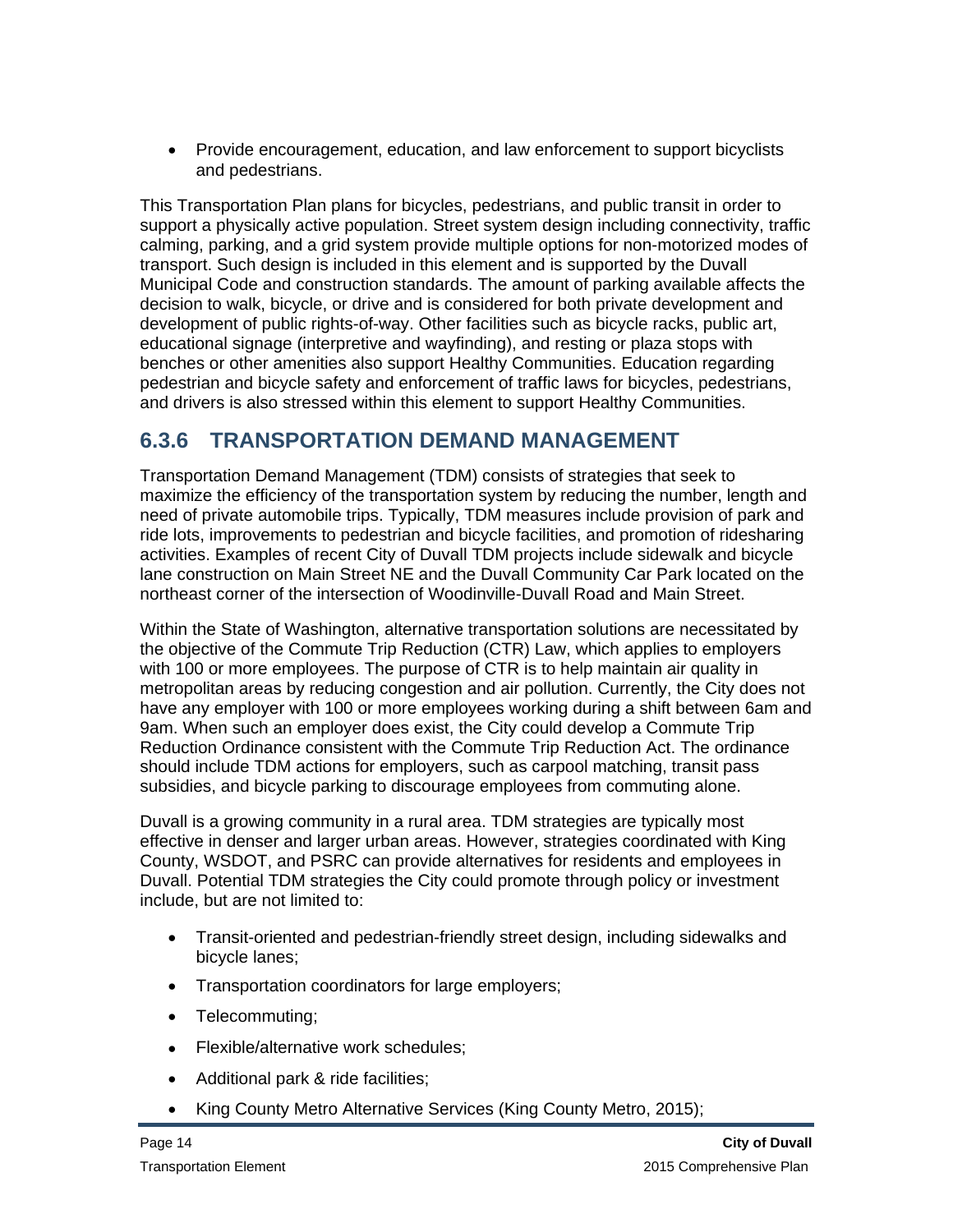Provide encouragement, education, and law enforcement to support bicyclists and pedestrians.

This Transportation Plan plans for bicycles, pedestrians, and public transit in order to support a physically active population. Street system design including connectivity, traffic calming, parking, and a grid system provide multiple options for non-motorized modes of transport. Such design is included in this element and is supported by the Duvall Municipal Code and construction standards. The amount of parking available affects the decision to walk, bicycle, or drive and is considered for both private development and development of public rights-of-way. Other facilities such as bicycle racks, public art, educational signage (interpretive and wayfinding), and resting or plaza stops with benches or other amenities also support Healthy Communities. Education regarding pedestrian and bicycle safety and enforcement of traffic laws for bicycles, pedestrians, and drivers is also stressed within this element to support Healthy Communities.

## **6.3.6 TRANSPORTATION DEMAND MANAGEMENT**

Transportation Demand Management (TDM) consists of strategies that seek to maximize the efficiency of the transportation system by reducing the number, length and need of private automobile trips. Typically, TDM measures include provision of park and ride lots, improvements to pedestrian and bicycle facilities, and promotion of ridesharing activities. Examples of recent City of Duvall TDM projects include sidewalk and bicycle lane construction on Main Street NE and the Duvall Community Car Park located on the northeast corner of the intersection of Woodinville-Duvall Road and Main Street.

Within the State of Washington, alternative transportation solutions are necessitated by the objective of the Commute Trip Reduction (CTR) Law, which applies to employers with 100 or more employees. The purpose of CTR is to help maintain air quality in metropolitan areas by reducing congestion and air pollution. Currently, the City does not have any employer with 100 or more employees working during a shift between 6am and 9am. When such an employer does exist, the City could develop a Commute Trip Reduction Ordinance consistent with the Commute Trip Reduction Act. The ordinance should include TDM actions for employers, such as carpool matching, transit pass subsidies, and bicycle parking to discourage employees from commuting alone.

Duvall is a growing community in a rural area. TDM strategies are typically most effective in denser and larger urban areas. However, strategies coordinated with King County, WSDOT, and PSRC can provide alternatives for residents and employees in Duvall. Potential TDM strategies the City could promote through policy or investment include, but are not limited to:

- Transit-oriented and pedestrian-friendly street design, including sidewalks and bicycle lanes;
- Transportation coordinators for large employers;
- Telecommuting;
- Flexible/alternative work schedules:
- Additional park & ride facilities;
- King County Metro Alternative Services (King County Metro, 2015);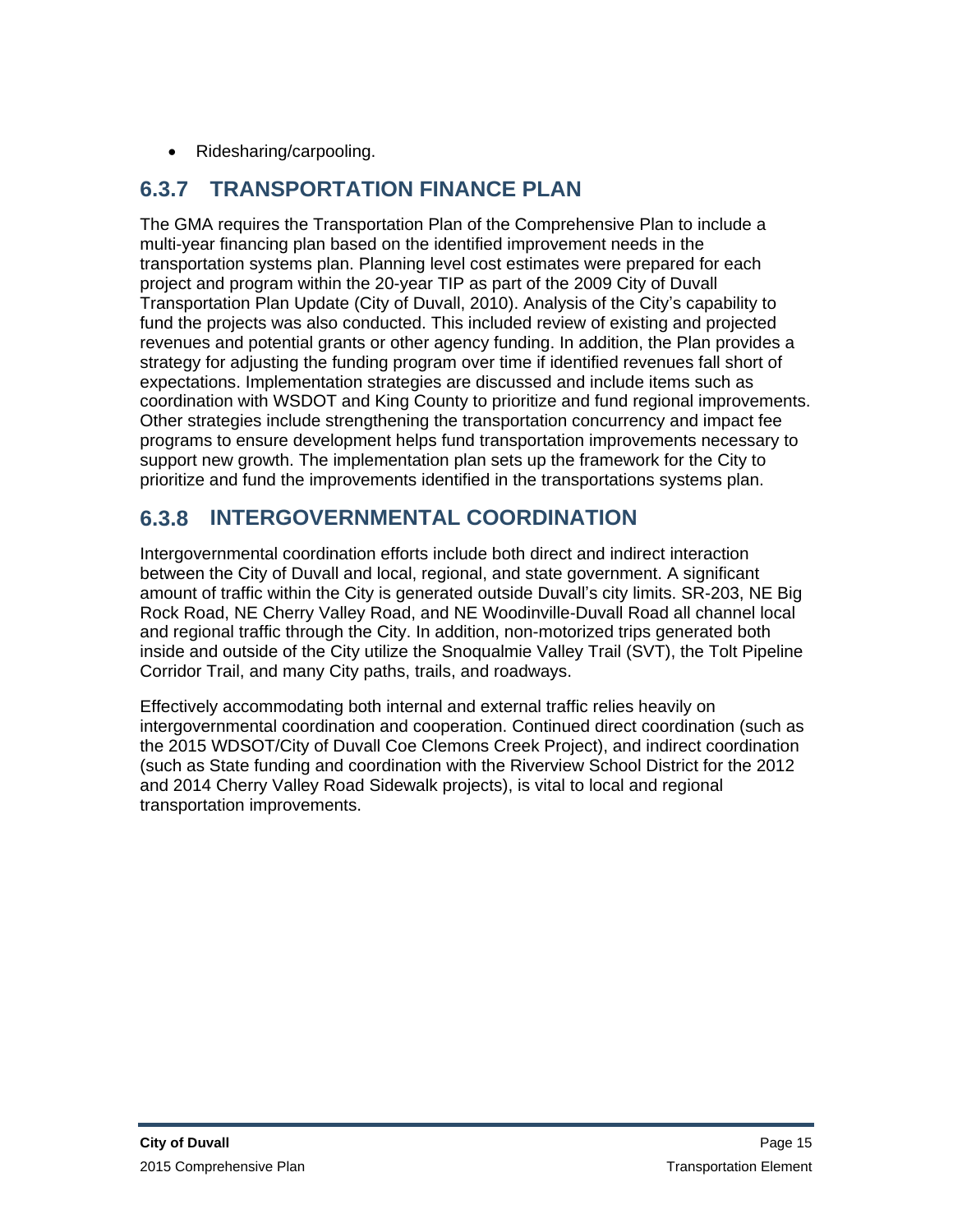• Ridesharing/carpooling.

## **6.3.7 TRANSPORTATION FINANCE PLAN**

The GMA requires the Transportation Plan of the Comprehensive Plan to include a multi-year financing plan based on the identified improvement needs in the transportation systems plan. Planning level cost estimates were prepared for each project and program within the 20-year TIP as part of the 2009 City of Duvall Transportation Plan Update (City of Duvall, 2010). Analysis of the City's capability to fund the projects was also conducted. This included review of existing and projected revenues and potential grants or other agency funding. In addition, the Plan provides a strategy for adjusting the funding program over time if identified revenues fall short of expectations. Implementation strategies are discussed and include items such as coordination with WSDOT and King County to prioritize and fund regional improvements. Other strategies include strengthening the transportation concurrency and impact fee programs to ensure development helps fund transportation improvements necessary to support new growth. The implementation plan sets up the framework for the City to prioritize and fund the improvements identified in the transportations systems plan.

## **6.3.8 INTERGOVERNMENTAL COORDINATION**

Intergovernmental coordination efforts include both direct and indirect interaction between the City of Duvall and local, regional, and state government. A significant amount of traffic within the City is generated outside Duvall's city limits. SR-203, NE Big Rock Road, NE Cherry Valley Road, and NE Woodinville-Duvall Road all channel local and regional traffic through the City. In addition, non-motorized trips generated both inside and outside of the City utilize the Snoqualmie Valley Trail (SVT), the Tolt Pipeline Corridor Trail, and many City paths, trails, and roadways.

Effectively accommodating both internal and external traffic relies heavily on intergovernmental coordination and cooperation. Continued direct coordination (such as the 2015 WDSOT/City of Duvall Coe Clemons Creek Project), and indirect coordination (such as State funding and coordination with the Riverview School District for the 2012 and 2014 Cherry Valley Road Sidewalk projects), is vital to local and regional transportation improvements.